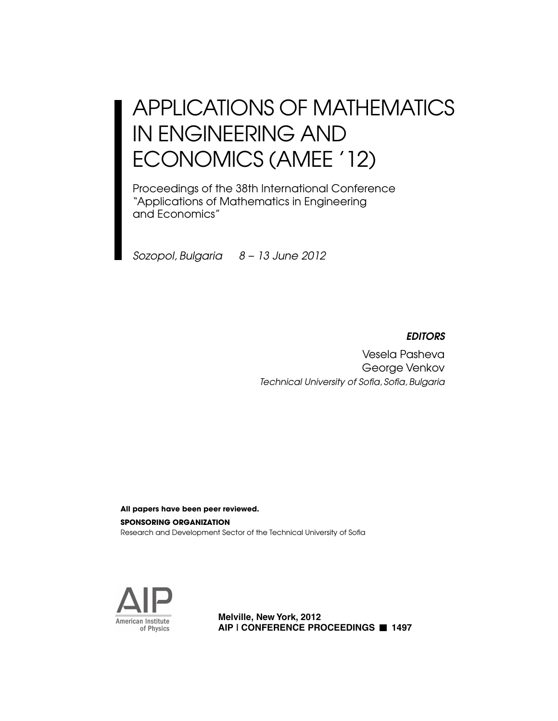# APPLICATIONS OF MATHEMATICS IN ENGINEERING AND ECONOMICS (AMEE '12)

Proceedings of the 38th International Conference "Applications of Mathematics in Engineering and Economics"

*Sozopol, Bulgaria 8 – 13 June 2012*

# *EDITORS*

Vesela Pasheva George Venkov **Technical University of Sofia, Sofia, Bulgaria** 

**SPONSORING ORGANIZATION**  Research and Development Sector of the Technical University of Sofia **All papers have been peer reviewed.**



**Melville, New York, 2012 AIP | CONFERENCE PROCEEDINGS 1497**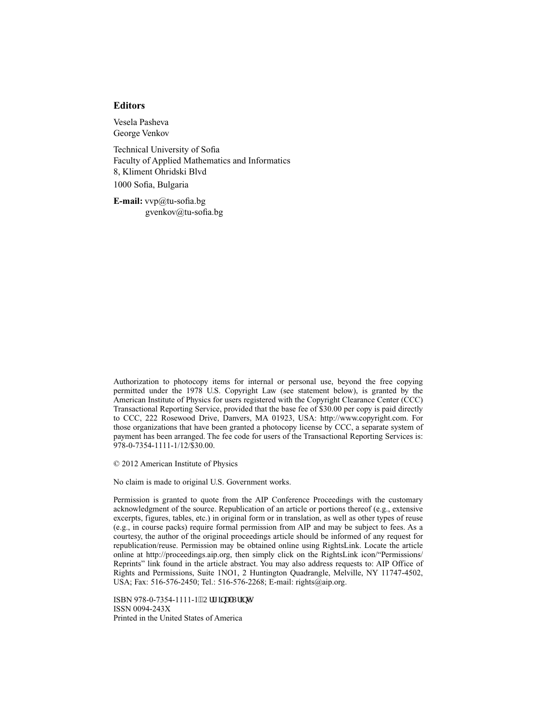#### **Editors**

Vesela Pasheva George Venkov

Technical University of Sofia Faculty of Applied Mathematics and Informatics 8, Kliment Ohridski Blvd 1000 Sofia, Bulgaria

**E-mail:**  $vvp@$ tu-sofia.bg gvenkov $@$ tu-sofia.bg

Authorization to photocopy items for internal or personal use, beyond the free copying permitted under the 1978 U.S. Copyright Law (see statement below), is granted by the American Institute of Physics for users registered with the Copyright Clearance Center (CCC) Transactional Reporting Service, provided that the base fee of \$30.00 per copy is paid directly to CCC, 222 Rosewood Drive, Danvers, MA 01923, USA: http://www.copyright.com. For those organizations that have been granted a photocopy license by CCC, a separate system of payment has been arranged. The fee code for users of the Transactional Reporting Services is: 978-0-7354-1111-1/12/\$30.00.

© 2012 American Institute of Physics

No claim is made to original U.S. Government works.

Permission is granted to quote from the AIP Conference Proceedings with the customary acknowledgment of the source. Republication of an article or portions thereof (e.g., extensive excerpts, figures, tables, etc.) in original form or in translation, as well as other types of reuse (e.g., in course packs) require formal permission from AIP and may be subject to fees. As a courtesy, the author of the original proceedings article should be informed of any request for republication/reuse. Permission may be obtained online using RightsLink. Locate the article online at http://proceedings.aip.org, then simply click on the RightsLink icon/"Permissions/ Reprints" link found in the article abstract. You may also address requests to: AIP Office of Rights and Permissions, Suite 1NO1, 2 Huntington Quadrangle, Melville, NY 11747-4502, USA; Fax: 516-576-2450; Tel.: 516-576-2268; E-mail: rights@aip.org.

ISBN 978-0-7354-1111-1<sup>vs</sup>Qtki kpcnRtkpv+ ISSN 0094-243X Printed in the United States of America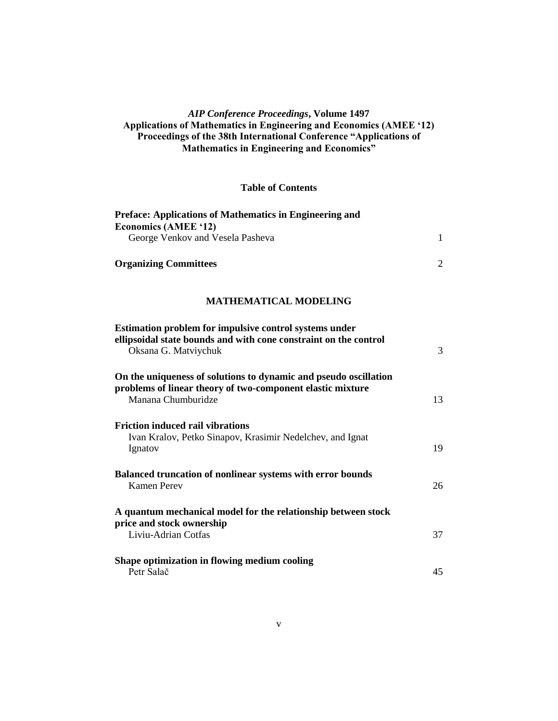### *AIP Conference Proceedings***, Volume 1497 Applications of Mathematics in Engineering and Economics (AMEE "12) Proceedings of the 38th International Conference "Applications of Mathematics in Engineering and Economics"**

#### **Table of Contents**

| Preface: Applications of Mathematics in Engineering and<br><b>Economics (AMEE '12)</b>                                                               |                |
|------------------------------------------------------------------------------------------------------------------------------------------------------|----------------|
| George Venkov and Vesela Pasheva                                                                                                                     | $\mathbf{1}$   |
| <b>Organizing Committees</b>                                                                                                                         | $\overline{2}$ |
| <b>MATHEMATICAL MODELING</b>                                                                                                                         |                |
| Estimation problem for impulsive control systems under<br>ellipsoidal state bounds and with cone constraint on the control<br>Oksana G. Matviychuk   | 3              |
| On the uniqueness of solutions to dynamic and pseudo oscillation<br>problems of linear theory of two-component elastic mixture<br>Manana Chumburidze | 13             |
| <b>Friction induced rail vibrations</b><br>Ivan Kralov, Petko Sinapov, Krasimir Nedelchev, and Ignat<br>Ignatov                                      | 19             |
| Balanced truncation of nonlinear systems with error bounds<br><b>Kamen Perev</b>                                                                     | 26             |
| A quantum mechanical model for the relationship between stock<br>price and stock ownership                                                           |                |
| Liviu-Adrian Cotfas                                                                                                                                  | 37             |
| Shape optimization in flowing medium cooling<br>Petr Salač                                                                                           | 45             |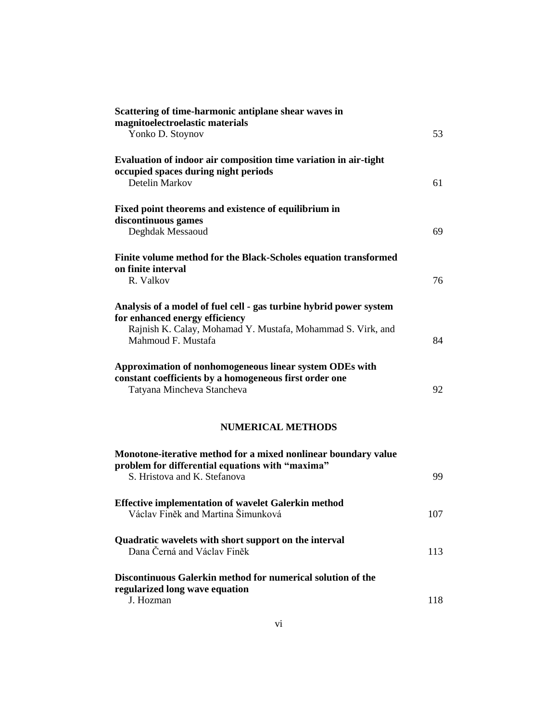| Scattering of time-harmonic antiplane shear waves in<br>magnitoelectroelastic materials<br>Yonko D. Stoynov                                                                               | 53  |
|-------------------------------------------------------------------------------------------------------------------------------------------------------------------------------------------|-----|
| Evaluation of indoor air composition time variation in air-tight<br>occupied spaces during night periods<br>Detelin Markov                                                                | 61  |
| Fixed point theorems and existence of equilibrium in<br>discontinuous games<br>Deghdak Messaoud                                                                                           | 69  |
| Finite volume method for the Black-Scholes equation transformed<br>on finite interval<br>R. Valkov                                                                                        | 76  |
| Analysis of a model of fuel cell - gas turbine hybrid power system<br>for enhanced energy efficiency<br>Rajnish K. Calay, Mohamad Y. Mustafa, Mohammad S. Virk, and<br>Mahmoud F. Mustafa | 84  |
| Approximation of nonhomogeneous linear system ODEs with<br>constant coefficients by a homogeneous first order one<br>Tatyana Mincheva Stancheva                                           | 92  |
| <b>NUMERICAL METHODS</b>                                                                                                                                                                  |     |
| Monotone-iterative method for a mixed nonlinear boundary value<br>problem for differential equations with "maxima"<br>S. Hristova and K. Stefanova                                        | 99  |
| <b>Effective implementation of wavelet Galerkin method</b><br>Václav Finěk and Martina Šimunková                                                                                          | 107 |
| Quadratic wavelets with short support on the interval<br>Dana Černá and Václav Finěk                                                                                                      | 113 |
| Discontinuous Galerkin method for numerical solution of the<br>regularized long wave equation                                                                                             |     |
| J. Hozman                                                                                                                                                                                 | 118 |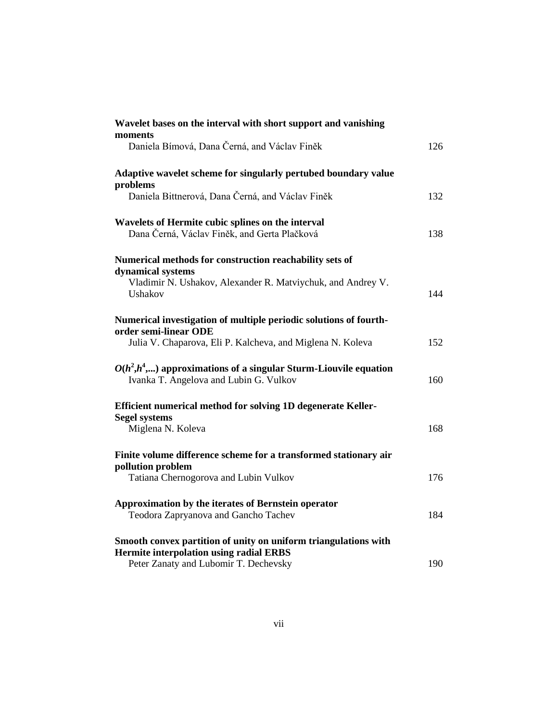| Wavelet bases on the interval with short support and vanishing                                                    |     |
|-------------------------------------------------------------------------------------------------------------------|-----|
| moments<br>Daniela Bímová, Dana Černá, and Václav Finěk                                                           | 126 |
| Adaptive wavelet scheme for singularly pertubed boundary value                                                    |     |
| problems<br>Daniela Bittnerová, Dana Černá, and Václav Finěk                                                      | 132 |
| Wavelets of Hermite cubic splines on the interval<br>Dana Černá, Václav Finěk, and Gerta Plačková                 | 138 |
| Numerical methods for construction reachability sets of                                                           |     |
| dynamical systems<br>Vladimir N. Ushakov, Alexander R. Matviychuk, and Andrey V.<br>Ushakov                       | 144 |
| Numerical investigation of multiple periodic solutions of fourth-<br>order semi-linear ODE                        |     |
| Julia V. Chaparova, Eli P. Kalcheva, and Miglena N. Koleva                                                        | 152 |
| $O(h^2,h^4,)$ approximations of a singular Sturm-Liouvile equation<br>Ivanka T. Angelova and Lubin G. Vulkov      | 160 |
| Efficient numerical method for solving 1D degenerate Keller-<br><b>Segel systems</b>                              |     |
| Miglena N. Koleva                                                                                                 | 168 |
| Finite volume difference scheme for a transformed stationary air<br>pollution problem                             |     |
| Tatiana Chernogorova and Lubin Vulkov                                                                             | 176 |
| Approximation by the iterates of Bernstein operator<br>Teodora Zapryanova and Gancho Tachev                       | 184 |
| Smooth convex partition of unity on uniform triangulations with<br><b>Hermite interpolation using radial ERBS</b> |     |
| Peter Zanaty and Lubomir T. Dechevsky                                                                             | 190 |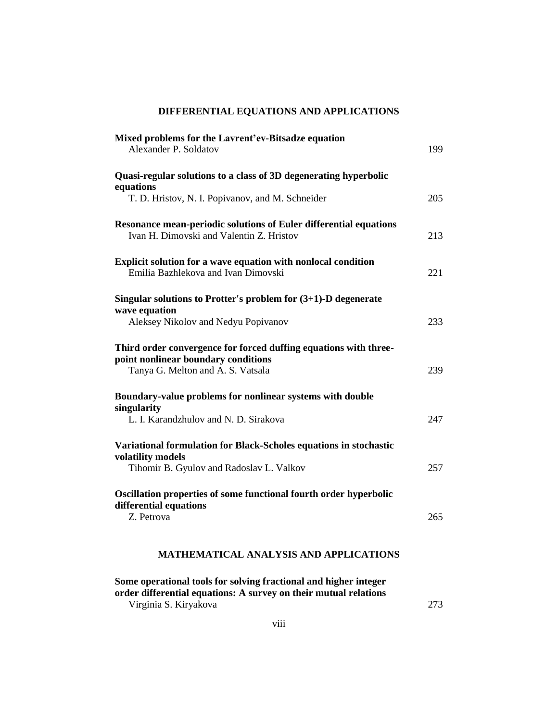# **DIFFERENTIAL EQUATIONS AND APPLICATIONS**

| Mixed problems for the Lavrent'ev-Bitsadze equation<br>Alexander P. Soldatov                                                                 | 199 |
|----------------------------------------------------------------------------------------------------------------------------------------------|-----|
| Quasi-regular solutions to a class of 3D degenerating hyperbolic                                                                             |     |
| equations<br>T. D. Hristov, N. I. Popivanov, and M. Schneider                                                                                | 205 |
| Resonance mean-periodic solutions of Euler differential equations<br>Ivan H. Dimovski and Valentin Z. Hristov                                | 213 |
| <b>Explicit solution for a wave equation with nonlocal condition</b><br>Emilia Bazhlekova and Ivan Dimovski                                  | 221 |
| Singular solutions to Protter's problem for $(3+1)$ -D degenerate                                                                            |     |
| wave equation<br>Aleksey Nikolov and Nedyu Popivanov                                                                                         | 233 |
| Third order convergence for forced duffing equations with three-<br>point nonlinear boundary conditions<br>Tanya G. Melton and A. S. Vatsala | 239 |
|                                                                                                                                              |     |
| Boundary-value problems for nonlinear systems with double<br>singularity                                                                     |     |
| L. I. Karandzhulov and N. D. Sirakova                                                                                                        | 247 |
| Variational formulation for Black-Scholes equations in stochastic<br>volatility models                                                       |     |
| Tihomir B. Gyulov and Radoslav L. Valkov                                                                                                     | 257 |
| Oscillation properties of some functional fourth order hyperbolic<br>differential equations<br>Z. Petrova                                    |     |
|                                                                                                                                              | 265 |
| <b>MATHEMATICAL ANALYSIS AND APPLICATIONS</b>                                                                                                |     |
| $\mathbf{u}$ . The state $\mathbf{u}$ is the state $\mathbf{u}$                                                                              |     |

**Some operational tools for solving fractional and higher integer order differential equations: A survey on their mutual relations** Virginia S. Kiryakova 273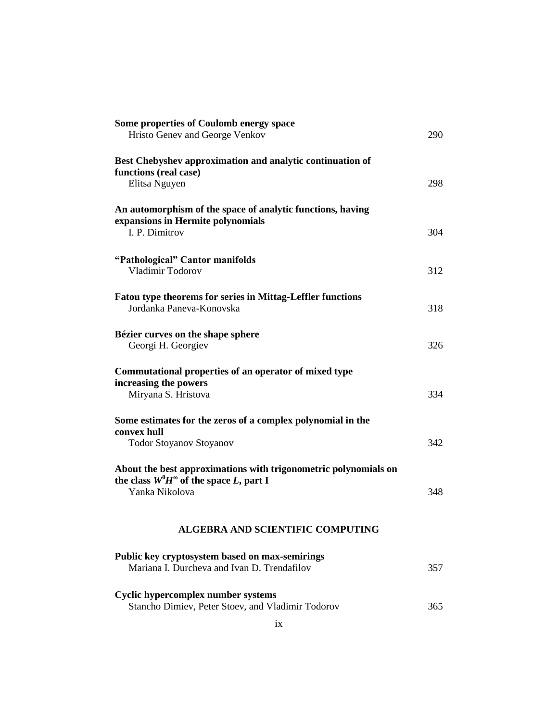| Some properties of Coulomb energy space                                                                             |     |
|---------------------------------------------------------------------------------------------------------------------|-----|
| Hristo Genev and George Venkov                                                                                      | 290 |
| Best Chebyshev approximation and analytic continuation of<br>functions (real case)                                  |     |
| Elitsa Nguyen                                                                                                       | 298 |
| An automorphism of the space of analytic functions, having<br>expansions in Hermite polynomials                     |     |
| I. P. Dimitrov                                                                                                      | 304 |
| "Pathological" Cantor manifolds<br>Vladimir Todorov                                                                 | 312 |
| <b>Fatou type theorems for series in Mittag-Leffler functions</b><br>Jordanka Paneva-Konovska                       | 318 |
| Bézier curves on the shape sphere<br>Georgi H. Georgiev                                                             | 326 |
| Commutational properties of an operator of mixed type                                                               |     |
| increasing the powers<br>Miryana S. Hristova                                                                        | 334 |
| Some estimates for the zeros of a complex polynomial in the<br>convex hull                                          |     |
| <b>Todor Stoyanov Stoyanov</b>                                                                                      | 342 |
| About the best approximations with trigonometric polynomials on<br>the class $W^0H^{\omega}$ of the space L, part I |     |
| Yanka Nikolova                                                                                                      | 348 |
| <b>ALGEBRA AND SCIENTIFIC COMPUTING</b>                                                                             |     |
| Public key cryptosystem based on max-semirings                                                                      |     |
| Mariana I. Durcheva and Ivan D. Trendafilov                                                                         | 357 |
| Cyclic hypercomplex number systems<br>Stancho Dimiev, Peter Stoev, and Vladimir Todorov                             | 365 |